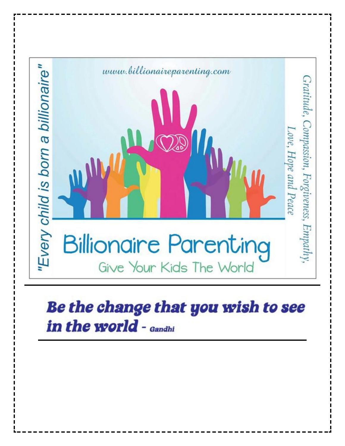

#### Be the change that you wish to see in the world - Gandhi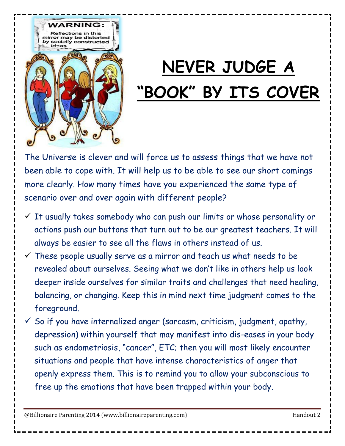

## **NEVER JUDGE A "BOOK" BY ITS COVER**

The Universe is clever and will force us to assess things that we have not been able to cope with. It will help us to be able to see our short comings more clearly. How many times have you experienced the same type of scenario over and over again with different people?

- $\checkmark$  It usually takes somebody who can push our limits or whose personality or actions push our buttons that turn out to be our greatest teachers. It will always be easier to see all the flaws in others instead of us.
- $\checkmark$  These people usually serve as a mirror and teach us what needs to be revealed about ourselves. Seeing what we don't like in others help us look deeper inside ourselves for similar traits and challenges that need healing, balancing, or changing. Keep this in mind next time judgment comes to the foreground.
- $\checkmark$  So if you have internalized anger (sarcasm, criticism, judgment, apathy, depression) within yourself that may manifest into dis-eases in your body such as endometriosis, "cancer", ETC; then you will most likely encounter situations and people that have intense characteristics of anger that openly express them. This is to remind you to allow your subconscious to free up the emotions that have been trapped within your body.

@Billionaire Parenting 2014 (www.billionaireparenting.com) discussed and the Handout 2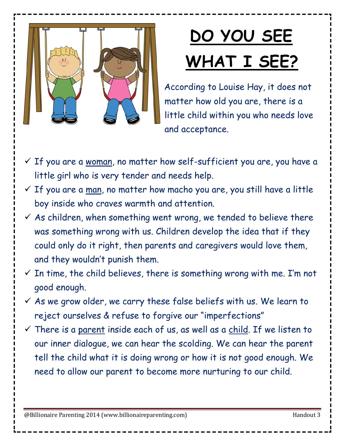

# **DO YOU SEE WHAT I SEE?**

According to Louise Hay, it does not matter how old you are, there is a little child within you who needs love and acceptance.

- $\checkmark$  If you are a <u>woman</u>, no matter how self-sufficient you are, you have a little girl who is very tender and needs help.
- $\checkmark$  If you are a man, no matter how macho you are, you still have a little boy inside who craves warmth and attention.
- $\checkmark$  As children, when something went wrong, we tended to believe there was something wrong with us. Children develop the idea that if they could only do it right, then parents and caregivers would love them, and they wouldn't punish them.
- $\checkmark$  In time, the child believes, there is something wrong with me. I'm not good enough.
- $\checkmark$  As we grow older, we carry these false beliefs with us. We learn to reject ourselves & refuse to forgive our "imperfections"
- $\checkmark$  There is a parent inside each of us, as well as a child. If we listen to our inner dialogue, we can hear the scolding. We can hear the parent tell the child what it is doing wrong or how it is not good enough. We need to allow our parent to become more nurturing to our child.

@Billionaire Parenting 2014 (www.billionaireparenting.com) discussed and the Handout 3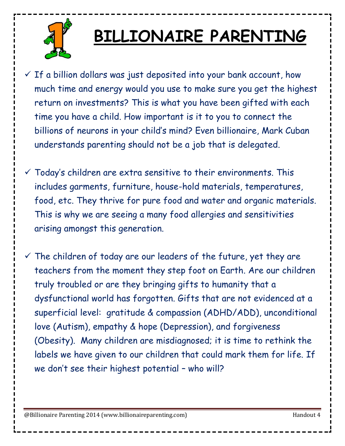

#### **BILLIONAIRE PARENTING**

- $\checkmark$  If a billion dollars was just deposited into your bank account, how much time and energy would you use to make sure you get the highest return on investments? This is what you have been gifted with each time you have a child. How important is it to you to connect the billions of neurons in your child's mind? Even billionaire, Mark Cuban understands parenting should not be a job that is delegated.
- $\checkmark$  Today's children are extra sensitive to their environments. This includes garments, furniture, house-hold materials, temperatures, food, etc. They thrive for pure food and water and organic materials. This is why we are seeing a many food allergies and sensitivities arising amongst this generation.
- $\checkmark$  The children of today are our leaders of the future, yet they are teachers from the moment they step foot on Earth. Are our children truly troubled or are they bringing gifts to humanity that a dysfunctional world has forgotten. Gifts that are not evidenced at a superficial level: gratitude & compassion (ADHD/ADD), unconditional love (Autism), empathy & hope (Depression), and forgiveness (Obesity). Many children are misdiagnosed; it is time to rethink the labels we have given to our children that could mark them for life. If we don't see their highest potential – who will?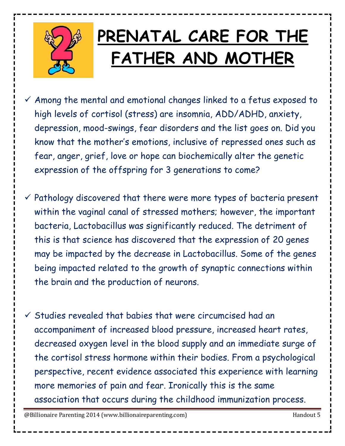

#### PRENATAL CARE FOR THE  **FATHER AND MOTHER**

- $\checkmark$  Among the mental and emotional changes linked to a fetus exposed to high levels of cortisol (stress) are insomnia, ADD/ADHD, anxiety, depression, mood-swings, fear disorders and the list goes on. Did you know that the mother's emotions, inclusive of repressed ones such as fear, anger, grief, love or hope can biochemically alter the genetic expression of the offspring for 3 generations to come?
- $\checkmark$  Pathology discovered that there were more types of bacteria present within the vaginal canal of stressed mothers; however, the important bacteria, Lactobacillus was significantly reduced. The detriment of this is that science has discovered that the expression of 20 genes may be impacted by the decrease in Lactobacillus. Some of the genes being impacted related to the growth of synaptic connections within the brain and the production of neurons.
- $\checkmark$  Studies revealed that babies that were circumcised had an accompaniment of increased blood pressure, increased heart rates, decreased oxygen level in the blood supply and an immediate surge of the cortisol stress hormone within their bodies. From a psychological perspective, recent evidence associated this experience with learning more memories of pain and fear. Ironically this is the same association that occurs during the childhood immunization process.

@Billionaire Parenting 2014 (www.billionaireparenting.com) discussed the Handout 5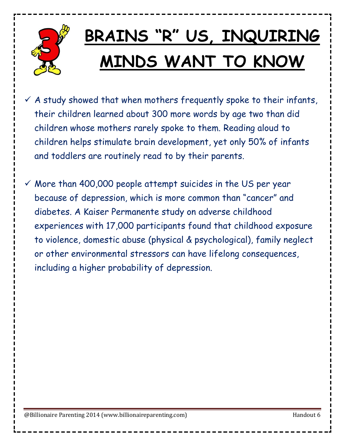

## **BRAINS "R" US, INQUIRING MINDS WANT TO KNOW**

- $\checkmark$  A study showed that when mothers frequently spoke to their infants, their children learned about 300 more words by age two than did children whose mothers rarely spoke to them. Reading aloud to children helps stimulate brain development, yet only 50% of infants and toddlers are routinely read to by their parents.
- $\checkmark$  More than 400,000 people attempt suicides in the US per year because of depression, which is more common than "cancer" and diabetes. A Kaiser Permanente study on adverse childhood experiences with 17,000 participants found that childhood exposure to violence, domestic abuse (physical & psychological), family neglect or other environmental stressors can have lifelong consequences, including a higher probability of depression.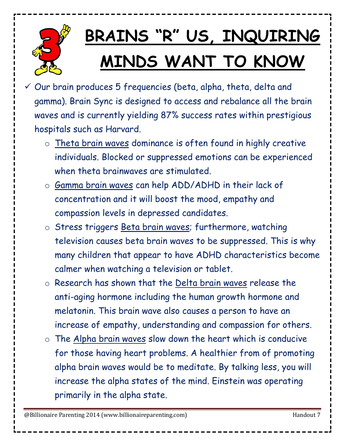

# **BRAINS "R" US, INQUIRING MINDS WANT TO KNOW**

- $\checkmark$  Our brain produces 5 frequencies (beta, alpha, theta, delta and gamma). Brain Sync is designed to access and rebalance all the brain waves and is currently yielding 87% success rates within prestigious hospitals such as Harvard.
	- o Theta brain waves dominance is often found in highly creative individuals. Blocked or suppressed emotions can be experienced when theta brainwaves are stimulated.
	- o Gamma brain waves can help ADD/ADHD in their lack of concentration and it will boost the mood, empathy and compassion levels in depressed candidates.
	- o Stress triggers Beta brain waves; furthermore, watching television causes beta brain waves to be suppressed. This is why many children that appear to have ADHD characteristics become calmer when watching a television or tablet.
	- o Research has shown that the Delta brain waves release the anti-aging hormone including the human growth hormone and melatonin. This brain wave also causes a person to have an increase of empathy, understanding and compassion for others.
	- o The Alpha brain waves slow down the heart which is conducive for those having heart problems. A healthier from of promoting alpha brain waves would be to meditate. By talking less, you will increase the alpha states of the mind. Einstein was operating primarily in the alpha state.

@Billionaire Parenting 2014 (www.billionaireparenting.com) discussed and the Handout 7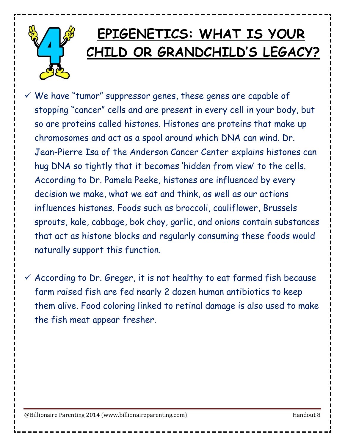

#### **EPIGENETICS: WHAT IS YOUR CHILD OR GRANDCHILD'S LEGACY?**

 $\checkmark$  We have "tumor" suppressor genes, these genes are capable of stopping "cancer" cells and are present in every cell in your body, but so are proteins called histones. Histones are proteins that make up chromosomes and act as a spool around which DNA can wind. Dr. Jean-Pierre Isa of the Anderson Cancer Center explains histones can hug DNA so tightly that it becomes 'hidden from view' to the cells. According to Dr. Pamela Peeke, histones are influenced by every decision we make, what we eat and think, as well as our actions influences histones. Foods such as broccoli, cauliflower, Brussels sprouts, kale, cabbage, bok choy, garlic, and onions contain substances that act as histone blocks and regularly consuming these foods would naturally support this function.

 $\checkmark$  According to Dr. Greger, it is not healthy to eat farmed fish because farm raised fish are fed nearly 2 dozen human antibiotics to keep them alive. Food coloring linked to retinal damage is also used to make the fish meat appear fresher.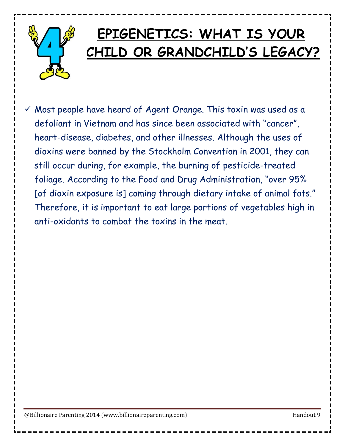

 $\checkmark$  Most people have heard of Agent Orange. This toxin was used as a defoliant in Vietnam and has since been associated with "cancer", heart-disease, diabetes, and other illnesses. Although the uses of dioxins were banned by the Stockholm Convention in 2001, they can still occur during, for example, the burning of pesticide-treated foliage. According to the Food and Drug Administration, "over 95% [of dioxin exposure is] coming through dietary intake of animal fats." Therefore, it is important to eat large portions of vegetables high in anti-oxidants to combat the toxins in the meat.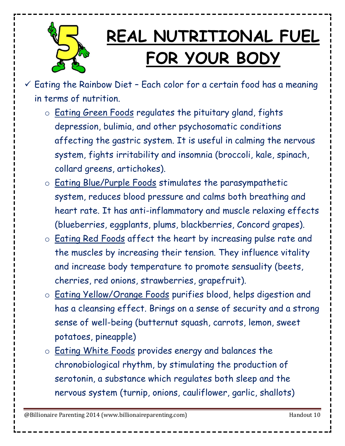

## **REAL NUTRITIONAL FUEL FOR YOUR BODY**

- $\checkmark$  Eating the Rainbow Diet Each color for a certain food has a meaning in terms of nutrition.
	- o Eating Green Foods regulates the pituitary gland, fights depression, bulimia, and other psychosomatic conditions affecting the gastric system. It is useful in calming the nervous system, fights irritability and insomnia (broccoli, kale, spinach, collard greens, artichokes).
	- o Eating Blue/Purple Foods stimulates the parasympathetic system, reduces blood pressure and calms both breathing and heart rate. It has anti-inflammatory and muscle relaxing effects (blueberries, eggplants, plums, blackberries, Concord grapes).
	- o **Eating Red Foods** affect the heart by increasing pulse rate and the muscles by increasing their tension. They influence vitality and increase body temperature to promote sensuality (beets, cherries, red onions, strawberries, grapefruit).
	- o Eating Yellow/Orange Foods purifies blood, helps digestion and has a cleansing effect. Brings on a sense of security and a strong sense of well-being (butternut squash, carrots, lemon, sweet potatoes, pineapple)
	- o Eating White Foods provides energy and balances the chronobiological rhythm, by stimulating the production of serotonin, a substance which regulates both sleep and the nervous system (turnip, onions, cauliflower, garlic, shallots)

@Billionaire Parenting 2014 (www.billionaireparenting.com) example and the Handout 10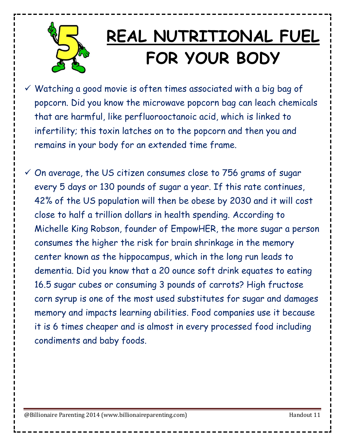

#### **REAL NUTRITIONAL FUEL FOR YOUR BODY**

- $\checkmark$  Watching a good movie is often times associated with a big bag of popcorn. Did you know the microwave popcorn bag can leach chemicals that are harmful, like perfluorooctanoic acid, which is linked to infertility; this toxin latches on to the popcorn and then you and remains in your body for an extended time frame.
- $\checkmark$  On average, the US citizen consumes close to 756 grams of sugar every 5 days or 130 pounds of sugar a year. If this rate continues, 42% of the US population will then be obese by 2030 and it will cost close to half a trillion dollars in health spending. According to Michelle King Robson, founder of EmpowHER, the more sugar a person consumes the higher the risk for brain shrinkage in the memory center known as the hippocampus, which in the long run leads to dementia. Did you know that a 20 ounce soft drink equates to eating 16.5 sugar cubes or consuming 3 pounds of carrots? High fructose corn syrup is one of the most used substitutes for sugar and damages memory and impacts learning abilities. Food companies use it because it is 6 times cheaper and is almost in every processed food including condiments and baby foods.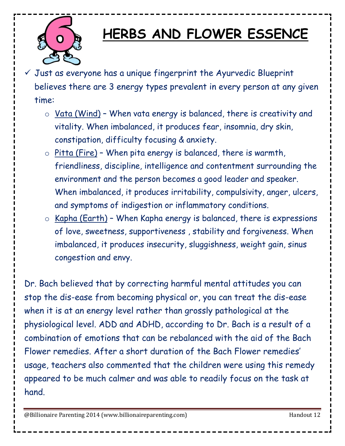

#### **HERBS AND FLOWER ESSENCE**

- $\checkmark$  Just as everyone has a unique fingerprint the Ayurvedic Blueprint believes there are 3 energy types prevalent in every person at any given time:
	- $\circ$  Vata (Wind) When vata energy is balanced, there is creativity and vitality. When imbalanced, it produces fear, insomnia, dry skin, constipation, difficulty focusing & anxiety.
	- $\circ$  Pitta (Fire) When pita energy is balanced, there is warmth, friendliness, discipline, intelligence and contentment surrounding the environment and the person becomes a good leader and speaker. When imbalanced, it produces irritability, compulsivity, anger, ulcers, and symptoms of indigestion or inflammatory conditions.
	- $\circ$  Kapha (Earth) When Kapha energy is balanced, there is expressions of love, sweetness, supportiveness , stability and forgiveness. When imbalanced, it produces insecurity, sluggishness, weight gain, sinus congestion and envy.

Dr. Bach believed that by correcting harmful mental attitudes you can stop the dis-ease from becoming physical or, you can treat the dis-ease when it is at an energy level rather than grossly pathological at the physiological level. ADD and ADHD, according to Dr. Bach is a result of a combination of emotions that can be rebalanced with the aid of the Bach Flower remedies. After a short duration of the Bach Flower remedies' usage, teachers also commented that the children were using this remedy appeared to be much calmer and was able to readily focus on the task at hand.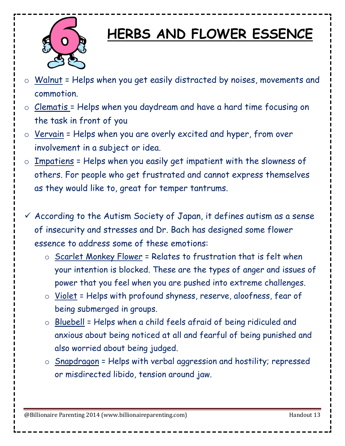

#### **HERBS AND FLOWER ESSENCE**

- o Walnut = Helps when you get easily distracted by noises, movements and commotion.
- o Clematis = Helps when you daydream and have a hard time focusing on the task in front of you
- $\circ$  Vervain = Helps when you are overly excited and hyper, from over involvement in a subject or idea.
- $\circ$  Impatiens = Helps when you easily get impatient with the slowness of others. For people who get frustrated and cannot express themselves as they would like to, great for temper tantrums.
- $\checkmark$  According to the Autism Society of Japan, it defines autism as a sense of insecurity and stresses and Dr. Bach has designed some flower essence to address some of these emotions:
	- $\circ$  Scarlet Monkey Flower = Relates to frustration that is felt when your intention is blocked. These are the types of anger and issues of power that you feel when you are pushed into extreme challenges.
	- o Violet = Helps with profound shyness, reserve, aloofness, fear of being submerged in groups.
	- o Bluebell = Helps when a child feels afraid of being ridiculed and anxious about being noticed at all and fearful of being punished and also worried about being judged.
	- o Snapdragon = Helps with verbal aggression and hostility; repressed or misdirected libido, tension around jaw.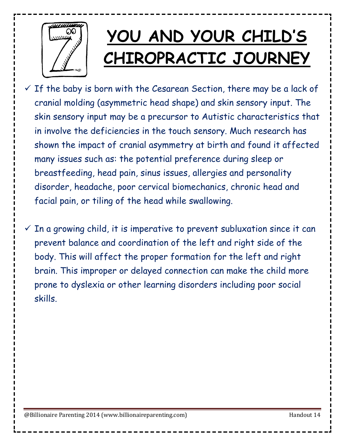

## **YOU AND YOUR CHILD'S CHIROPRACTIC JOURNEY**

- $\checkmark$  If the baby is born with the Cesarean Section, there may be a lack of cranial molding (asymmetric head shape) and skin sensory input. The skin sensory input may be a precursor to Autistic characteristics that in involve the deficiencies in the touch sensory. Much research has shown the impact of cranial asymmetry at birth and found it affected many issues such as: the potential preference during sleep or breastfeeding, head pain, sinus issues, allergies and personality disorder, headache, poor cervical biomechanics, chronic head and facial pain, or tiling of the head while swallowing.
- $\checkmark$  In a growing child, it is imperative to prevent subluxation since it can prevent balance and coordination of the left and right side of the body. This will affect the proper formation for the left and right brain. This improper or delayed connection can make the child more prone to dyslexia or other learning disorders including poor social skills.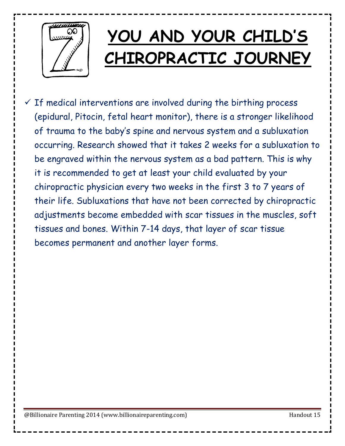

## **YOU AND YOUR CHILD'S CHIROPRACTIC JOURNEY**

 $\checkmark$  If medical interventions are involved during the birthing process (epidural, Pitocin, fetal heart monitor), there is a stronger likelihood of trauma to the baby's spine and nervous system and a subluxation occurring. Research showed that it takes 2 weeks for a subluxation to be engraved within the nervous system as a bad pattern. This is why it is recommended to get at least your child evaluated by your chiropractic physician every two weeks in the first 3 to 7 years of their life. Subluxations that have not been corrected by chiropractic adjustments become embedded with scar tissues in the muscles, soft tissues and bones. Within 7-14 days, that layer of scar tissue becomes permanent and another layer forms.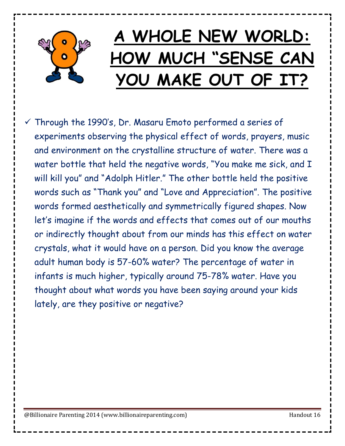

 $\checkmark$  Through the 1990's, Dr. Masaru Emoto performed a series of experiments observing the physical effect of words, prayers, music and environment on the crystalline structure of water. There was a water bottle that held the negative words, "You make me sick, and I will kill you" and "Adolph Hitler." The other bottle held the positive words such as "Thank you" and "Love and Appreciation". The positive words formed aesthetically and symmetrically figured shapes. Now let's imagine if the words and effects that comes out of our mouths or indirectly thought about from our minds has this effect on water crystals, what it would have on a person. Did you know the average adult human body is 57-60% water? The percentage of water in infants is much higher, typically around 75-78% water. Have you thought about what words you have been saying around your kids lately, are they positive or negative?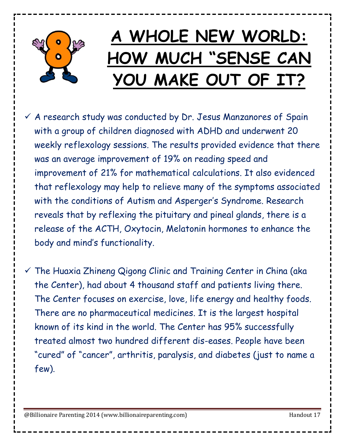

 $\checkmark$  A research study was conducted by Dr. Jesus Manzanores of Spain with a group of children diagnosed with ADHD and underwent 20 weekly reflexology sessions. The results provided evidence that there was an average improvement of 19% on reading speed and improvement of 21% for mathematical calculations. It also evidenced that reflexology may help to relieve many of the symptoms associated with the conditions of Autism and Asperger's Syndrome. Research reveals that by reflexing the pituitary and pineal glands, there is a release of the ACTH, Oxytocin, Melatonin hormones to enhance the body and mind's functionality.

 $\checkmark$  The Huaxia Zhineng Qigong Clinic and Training Center in China (aka the Center), had about 4 thousand staff and patients living there. The Center focuses on exercise, love, life energy and healthy foods. There are no pharmaceutical medicines. It is the largest hospital known of its kind in the world. The Center has 95% successfully treated almost two hundred different dis-eases. People have been "cured" of "cancer", arthritis, paralysis, and diabetes (just to name a few).

@Billionaire Parenting 2014 (www.billionaireparenting.com) example and the Handout 17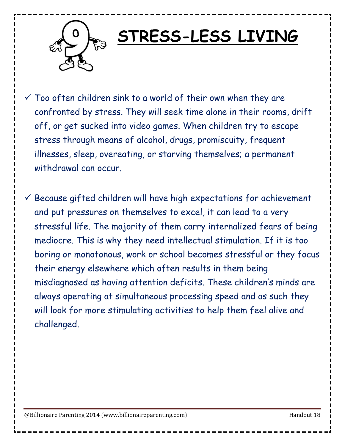

#### **STRESS-LESS LIVING**

 $\checkmark$  Too often children sink to a world of their own when they are confronted by stress. They will seek time alone in their rooms, drift off, or get sucked into video games. When children try to escape stress through means of alcohol, drugs, promiscuity, frequent illnesses, sleep, overeating, or starving themselves; a permanent withdrawal can occur.

 $\checkmark$  Because gifted children will have high expectations for achievement and put pressures on themselves to excel, it can lead to a very stressful life. The majority of them carry internalized fears of being mediocre. This is why they need intellectual stimulation. If it is too boring or monotonous, work or school becomes stressful or they focus their energy elsewhere which often results in them being misdiagnosed as having attention deficits. These children's minds are always operating at simultaneous processing speed and as such they will look for more stimulating activities to help them feel alive and challenged.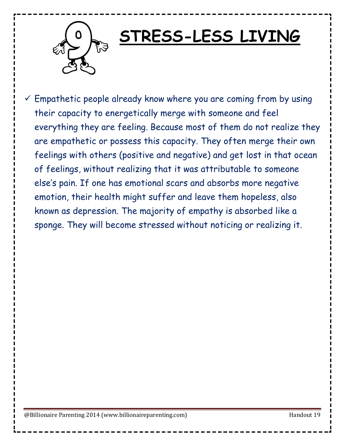

#### **STRESS-LESS LIVING**

 $\checkmark$  Empathetic people already know where you are coming from by using their capacity to energetically merge with someone and feel everything they are feeling. Because most of them do not realize they are empathetic or possess this capacity. They often merge their own feelings with others (positive and negative) and get lost in that ocean of feelings, without realizing that it was attributable to someone else's pain. If one has emotional scars and absorbs more negative emotion, their health might suffer and leave them hopeless, also known as depression. The majority of empathy is absorbed like a sponge. They will become stressed without noticing or realizing it.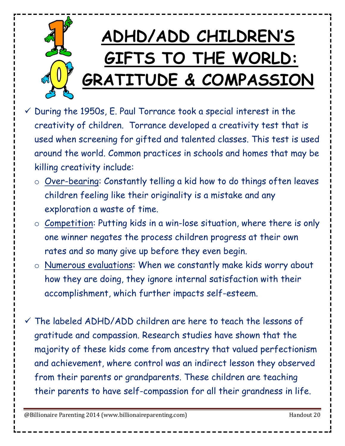

- $\checkmark$  During the 1950s, E. Paul Torrance took a special interest in the creativity of children. Torrance developed a creativity test that is used when screening for gifted and talented classes. This test is used around the world. Common practices in schools and homes that may be killing creativity include:
	- o Over-bearing: Constantly telling a kid how to do things often leaves children feeling like their originality is a mistake and any exploration a waste of time.
	- $\circ$  Competition: Putting kids in a win-lose situation, where there is only one winner negates the process children progress at their own rates and so many give up before they even begin.
	- o Numerous evaluations: When we constantly make kids worry about how they are doing, they ignore internal satisfaction with their accomplishment, which further impacts self-esteem.
- $\checkmark$  The labeled ADHD/ADD children are here to teach the lessons of gratitude and compassion. Research studies have shown that the majority of these kids come from ancestry that valued perfectionism and achievement, where control was an indirect lesson they observed from their parents or grandparents. These children are teaching their parents to have self-compassion for all their grandness in life.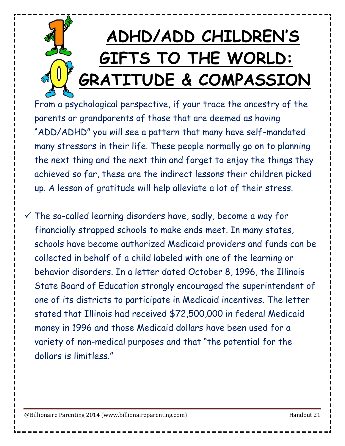# **ADHD/ADD CHILDREN'S GIFTS TO THE WORLD: GRATITUDE & COMPASSION**

From a psychological perspective, if your trace the ancestry of the parents or grandparents of those that are deemed as having "ADD/ADHD" you will see a pattern that many have self-mandated many stressors in their life. These people normally go on to planning the next thing and the next thin and forget to enjoy the things they achieved so far, these are the indirect lessons their children picked up. A lesson of gratitude will help alleviate a lot of their stress.

 $\checkmark$  The so-called learning disorders have, sadly, become a way for financially strapped schools to make ends meet. In many states, schools have become authorized Medicaid providers and funds can be collected in behalf of a child labeled with one of the learning or behavior disorders. In a letter dated October 8, 1996, the Illinois State Board of Education strongly encouraged the superintendent of one of its districts to participate in Medicaid incentives. The letter stated that Illinois had received \$72,500,000 in federal Medicaid money in 1996 and those Medicaid dollars have been used for a variety of non-medical purposes and that "the potential for the dollars is limitless."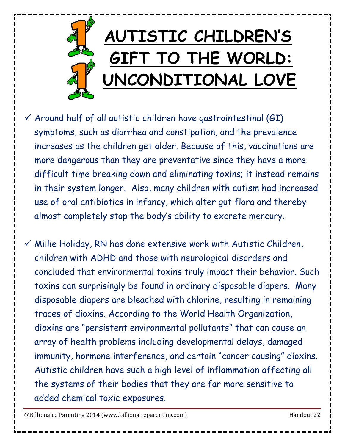

- $\checkmark$  Around half of all autistic children have gastrointestinal (GI) symptoms, such as diarrhea and constipation, and the prevalence increases as the children get older. Because of this, vaccinations are more dangerous than they are preventative since they have a more difficult time breaking down and eliminating toxins; it instead remains in their system longer. Also, many children with autism had increased use of oral antibiotics in infancy, which alter gut flora and thereby almost completely stop the body's ability to excrete mercury.
- $\checkmark$  Millie Holiday, RN has done extensive work with Autistic Children, children with ADHD and those with neurological disorders and concluded that environmental toxins truly impact their behavior. Such toxins can surprisingly be found in ordinary disposable diapers. Many disposable diapers are bleached with chlorine, resulting in remaining traces of dioxins. According to the World Health Organization, dioxins are "persistent environmental pollutants" that can cause an array of health problems including developmental delays, damaged immunity, hormone interference, and certain "cancer causing" dioxins. Autistic children have such a high level of inflammation affecting all the systems of their bodies that they are far more sensitive to added chemical toxic exposures.

@Billionaire Parenting 2014 (www.billionaireparenting.com) discussed the extra extra Handout 22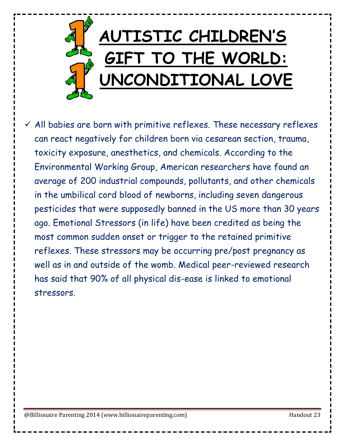

 $\checkmark$  All babies are born with primitive reflexes. These necessary reflexes can react negatively for children born via cesarean section, trauma, toxicity exposure, anesthetics, and chemicals. According to the Environmental Working Group, American researchers have found an average of 200 industrial compounds, pollutants, and other chemicals in the umbilical cord blood of newborns, including seven dangerous pesticides that were supposedly banned in the US more than 30 years ago. Emotional Stressors (in life) have been credited as being the most common sudden onset or trigger to the retained primitive reflexes. These stressors may be occurring pre/post pregnancy as well as in and outside of the womb. Medical peer-reviewed research has said that 90% of all physical dis-ease is linked to emotional stressors.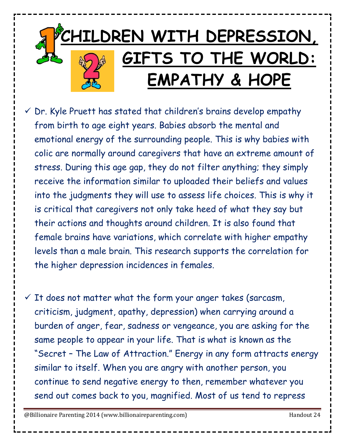

- $\checkmark$  Dr. Kyle Pruett has stated that children's brains develop empathy from birth to age eight years. Babies absorb the mental and emotional energy of the surrounding people. This is why babies with colic are normally around caregivers that have an extreme amount of stress. During this age gap, they do not filter anything; they simply receive the information similar to uploaded their beliefs and values into the judgments they will use to assess life choices. This is why it is critical that caregivers not only take heed of what they say but their actions and thoughts around children. It is also found that female brains have variations, which correlate with higher empathy levels than a male brain. This research supports the correlation for the higher depression incidences in females.
- $\checkmark$  It does not matter what the form your anger takes (sarcasm, criticism, judgment, apathy, depression) when carrying around a burden of anger, fear, sadness or vengeance, you are asking for the same people to appear in your life. That is what is known as the "Secret – The Law of Attraction." Energy in any form attracts energy similar to itself. When you are angry with another person, you continue to send negative energy to then, remember whatever you send out comes back to you, magnified. Most of us tend to repress

@Billionaire Parenting 2014 (www.billionaireparenting.com) discussed the Handout 24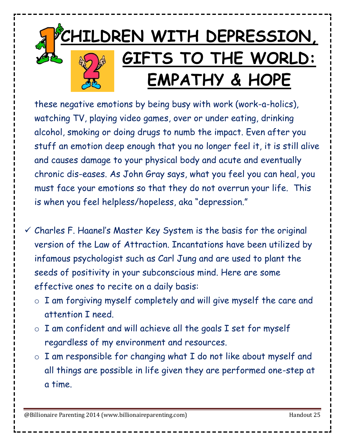

these negative emotions by being busy with work (work-a-holics), watching TV, playing video games, over or under eating, drinking alcohol, smoking or doing drugs to numb the impact. Even after you stuff an emotion deep enough that you no longer feel it, it is still alive and causes damage to your physical body and acute and eventually chronic dis-eases. As John Gray says, what you feel you can heal, you must face your emotions so that they do not overrun your life. This is when you feel helpless/hopeless, aka "depression."

- $\checkmark$  Charles F. Haanel's Master Key System is the basis for the original version of the Law of Attraction. Incantations have been utilized by infamous psychologist such as Carl Jung and are used to plant the seeds of positivity in your subconscious mind. Here are some effective ones to recite on a daily basis:
	- o I am forgiving myself completely and will give myself the care and attention I need.
	- o I am confident and will achieve all the goals I set for myself regardless of my environment and resources.
	- $\circ$  I am responsible for changing what I do not like about myself and all things are possible in life given they are performed one-step at a time.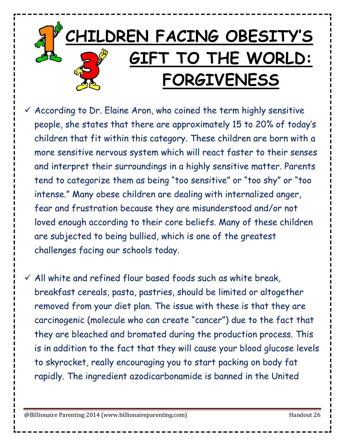

 $\checkmark$  According to Dr. Elaine Aron, who coined the term highly sensitive people, she states that there are approximately 15 to 20% of today's children that fit within this category. These children are born with a more sensitive nervous system which will react faster to their senses and interpret their surroundings in a highly sensitive matter. Parents tend to categorize them as being "too sensitive" or "too shy" or "too intense." Many obese children are dealing with internalized anger, fear and frustration because they are misunderstood and/or not loved enough according to their core beliefs. Many of these children are subjected to being bullied, which is one of the greatest challenges facing our schools today.

 $\checkmark$  All white and refined flour based foods such as white break, breakfast cereals, pasta, pastries, should be limited or altogether removed from your diet plan. The issue with these is that they are carcinogenic (molecule who can create "cancer") due to the fact that they are bleached and bromated during the production process. This is in addition to the fact that they will cause your blood glucose levels to skyrocket, really encouraging you to start packing on body fat rapidly. The ingredient azodicarbonamide is banned in the United

@Billionaire Parenting 2014 (www.billionaireparenting.com) discussed the Handout 26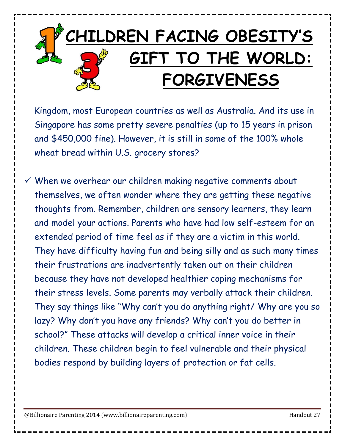

Kingdom, most European countries as well as Australia. And its use in Singapore has some pretty severe penalties (up to 15 years in prison and \$450,000 fine). However, it is still in some of the 100% whole wheat bread within U.S. grocery stores?

 $\checkmark$  When we overhear our children making negative comments about themselves, we often wonder where they are getting these negative thoughts from. Remember, children are sensory learners, they learn and model your actions. Parents who have had low self-esteem for an extended period of time feel as if they are a victim in this world. They have difficulty having fun and being silly and as such many times their frustrations are inadvertently taken out on their children because they have not developed healthier coping mechanisms for their stress levels. Some parents may verbally attack their children. They say things like "Why can't you do anything right/ Why are you so lazy? Why don't you have any friends? Why can't you do better in school?" These attacks will develop a critical inner voice in their children. These children begin to feel vulnerable and their physical bodies respond by building layers of protection or fat cells.

@Billionaire Parenting 2014 (www.billionaireparenting.com) example and the Handout 27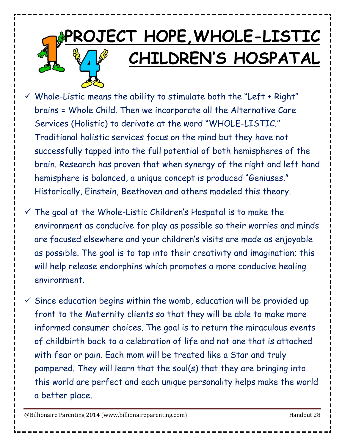# **PROJECT HOPE,WHOLE-LISTIC CHILDREN'S HOSPATAL**

 $\checkmark$  Whole-Listic means the ability to stimulate both the "Left + Right" brains = Whole Child. Then we incorporate all the Alternative Care Services (Holistic) to derivate at the word "WHOLE-LISTIC." Traditional holistic services focus on the mind but they have not successfully tapped into the full potential of both hemispheres of the brain. Research has proven that when synergy of the right and left hand hemisphere is balanced, a unique concept is produced "Geniuses." Historically, Einstein, Beethoven and others modeled this theory.

 $\checkmark$  The goal at the Whole-Listic Children's Hospatal is to make the environment as conducive for play as possible so their worries and minds are focused elsewhere and your children's visits are made as enjoyable as possible. The goal is to tap into their creativity and imagination; this will help release endorphins which promotes a more conducive healing environment.

 $\checkmark$  Since education begins within the womb, education will be provided up front to the Maternity clients so that they will be able to make more informed consumer choices. The goal is to return the miraculous events of childbirth back to a celebration of life and not one that is attached with fear or pain. Each mom will be treated like a Star and truly pampered. They will learn that the soul(s) that they are bringing into this world are perfect and each unique personality helps make the world a better place.

@Billionaire Parenting 2014 (www.billionaireparenting.com) example and the Handout 28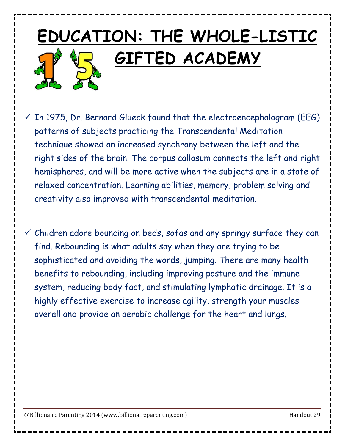#### **EDUCATION: THE WHOLE-LISTIC GIFTED ACADEMY**

- $\checkmark$  In 1975, Dr. Bernard Glueck found that the electroencephalogram (EEG) patterns of subjects practicing the Transcendental Meditation technique showed an increased synchrony between the left and the right sides of the brain. The corpus callosum connects the left and right hemispheres, and will be more active when the subjects are in a state of relaxed concentration. Learning abilities, memory, problem solving and creativity also improved with transcendental meditation.
- $\checkmark$  Children adore bouncing on beds, sofas and any springy surface they can find. Rebounding is what adults say when they are trying to be sophisticated and avoiding the words, jumping. There are many health benefits to rebounding, including improving posture and the immune system, reducing body fact, and stimulating lymphatic drainage. It is a highly effective exercise to increase agility, strength your muscles overall and provide an aerobic challenge for the heart and lungs.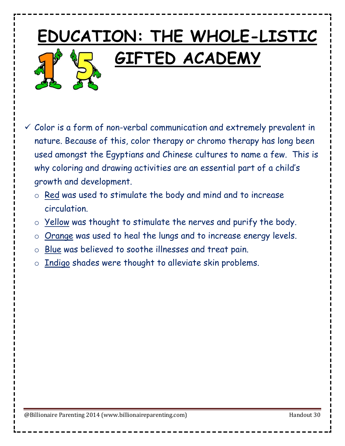# **EDUCATION: THE WHOLE-LISTIC GIFTED ACADEMY**

- $\checkmark$  Color is a form of non-verbal communication and extremely prevalent in nature. Because of this, color therapy or chromo therapy has long been used amongst the Egyptians and Chinese cultures to name a few. This is why coloring and drawing activities are an essential part of a child's growth and development.
	- o Red was used to stimulate the body and mind and to increase circulation.
	- o Yellow was thought to stimulate the nerves and purify the body.
	- o Orange was used to heal the lungs and to increase energy levels.
	- o Blue was believed to soothe illnesses and treat pain.
	- o Indigo shades were thought to alleviate skin problems.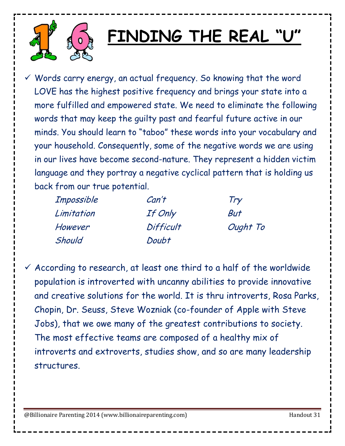

#### **FINDING THE REAL "U"**

 $\checkmark$  Words carry energy, an actual frequency. So knowing that the word LOVE has the highest positive frequency and brings your state into a more fulfilled and empowered state. We need to eliminate the following words that may keep the guilty past and fearful future active in our minds. You should learn to "taboo" these words into your vocabulary and your household. Consequently, some of the negative words we are using in our lives have become second-nature. They represent a hidden victim language and they portray a negative cyclical pattern that is holding us back from our true potential.

| Impossible | Can't     | Try      |
|------------|-----------|----------|
| Limitation | If Only   | But      |
| However    | Difficult | Ought To |
| Should     | Doubt     |          |

 $\checkmark$  According to research, at least one third to a half of the worldwide population is introverted with uncanny abilities to provide innovative and creative solutions for the world. It is thru introverts, Rosa Parks, Chopin, Dr. Seuss, Steve Wozniak (co-founder of Apple with Steve Jobs), that we owe many of the greatest contributions to society. The most effective teams are composed of a healthy mix of introverts and extroverts, studies show, and so are many leadership structures.

@Billionaire Parenting 2014 (www.billionaireparenting.com) discussed and the Handout 31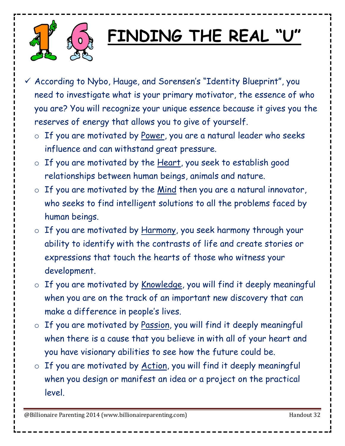

## **FINDING THE REAL "U"**

- $\checkmark$  According to Nybo, Hauge, and Sorensen's "Identity Blueprint", you need to investigate what is your primary motivator, the essence of who you are? You will recognize your unique essence because it gives you the reserves of energy that allows you to give of yourself.
	- o If you are motivated by Power, you are a natural leader who seeks influence and can withstand great pressure.
	- o If you are motivated by the Heart, you seek to establish good relationships between human beings, animals and nature.
	- $\circ$  If you are motivated by the Mind then you are a natural innovator, who seeks to find intelligent solutions to all the problems faced by human beings.
	- o If you are motivated by Harmony, you seek harmony through your ability to identify with the contrasts of life and create stories or expressions that touch the hearts of those who witness your development.
	- o If you are motivated by Knowledge, you will find it deeply meaningful when you are on the track of an important new discovery that can make a difference in people's lives.
	- o If you are motivated by Passion, you will find it deeply meaningful when there is a cause that you believe in with all of your heart and you have visionary abilities to see how the future could be.
	- $\circ$  If you are motivated by Action, you will find it deeply meaningful when you design or manifest an idea or a project on the practical level.

@Billionaire Parenting 2014 (www.billionaireparenting.com) example and the Handout 32